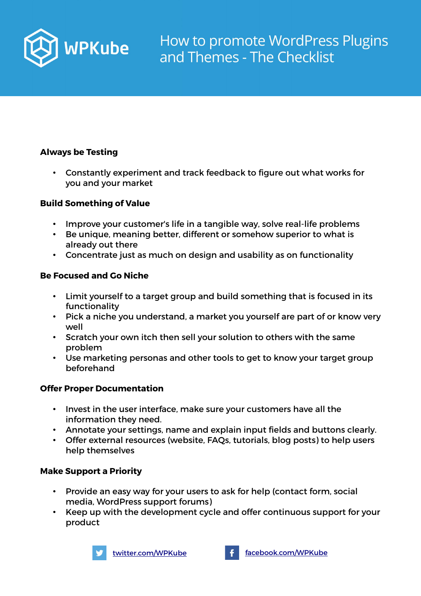

### **Always be Testing**

• Constantly experiment and track feedback to figure out what works for you and your market

### **Build Something of Value**

- Improve your customer's life in a tangible way, solve real-life problems
- Be unique, meaning better, different or somehow superior to what is already out there
- Concentrate just as much on design and usability as on functionality

#### **Be Focused and Go Niche**

- Limit yourself to a target group and build something that is focused in its functionality
- Pick a niche you understand, a market you yourself are part of or know very well
- Scratch your own itch then sell your solution to others with the same problem
- Use marketing personas and other tools to get to know your target group beforehand

#### **Offer Proper Documentation**

- Invest in the user interface, make sure your customers have all the information they need.
- Annotate your settings, name and explain input fields and buttons clearly.
- Offer external resources (website, FAQs, tutorials, blog posts) to help users help themselves

### **Make Support a Priority**

- Provide an easy way for your users to ask for help (contact form, social media, WordPress support forums)
- Keep up with the development cycle and offer continuous support for your product



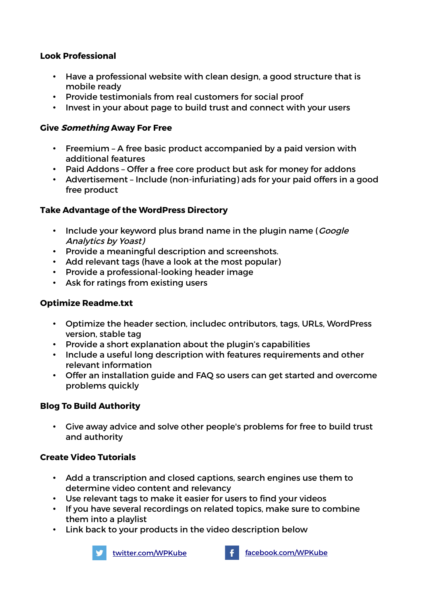### **Look Professional**

- Have a professional website with clean design, a good structure that is mobile ready
- Provide testimonials from real customers for social proof
- Invest in your about page to build trust and connect with your users

## **Give Something Away For Free**

- Freemium A free basic product accompanied by a paid version with additional features
- Paid Addons Offer a free core product but ask for money for addons
- Advertisement Include (non-infuriating) ads for your paid offers in a good free product

## **Take Advantage of the WordPress Directory**

- Include your keyword plus brand name in the plugin name (*Google* Analytics by Yoast)
- Provide a meaningful description and screenshots.
- Add relevant tags (have a look at the most popular)
- Provide a professional-looking header image
- Ask for ratings from existing users

# **Optimize Readme.txt**

- Optimize the header section, includec ontributors, tags, URLs, WordPress version, stable tag
- Provide a short explanation about the plugin's capabilities
- Include a useful long description with features requirements and other relevant information
- Offer an installation guide and FAQ so users can get started and overcome problems quickly

# **Blog To Build Authority**

• Give away advice and solve other people's problems for free to build trust and authority

# **Create Video Tutorials**

- Add a transcription and closed captions, search engines use them to determine video content and relevancy
- Use relevant tags to make it easier for users to find your videos
- If you have several recordings on related topics, make sure to combine them into a playlist
- Link back to your products in the video description below